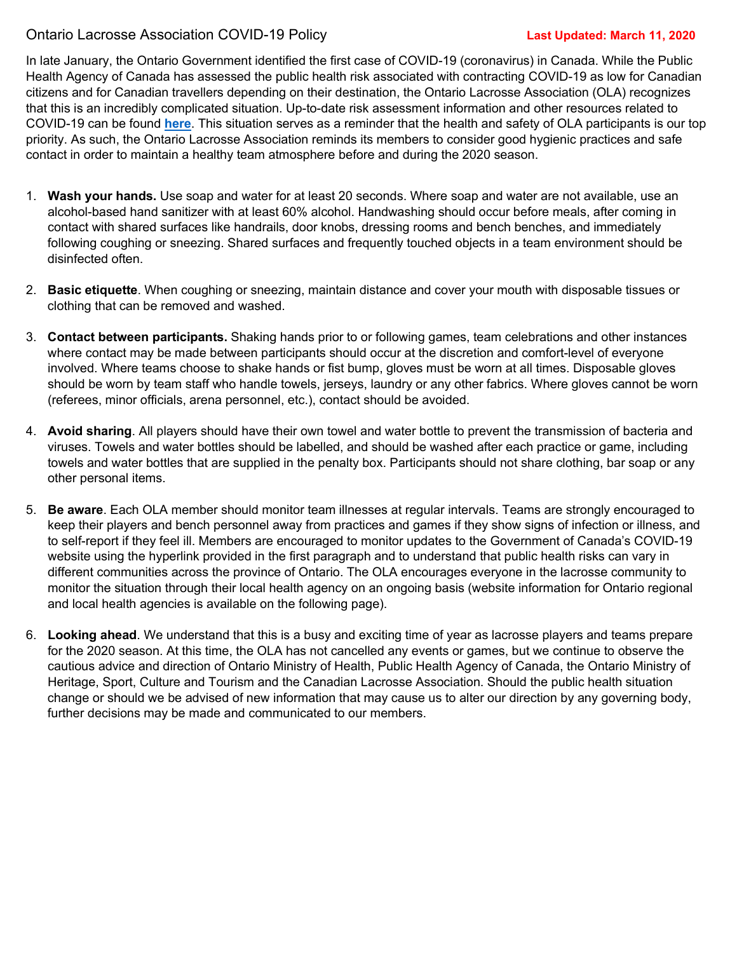## Ontario Lacrosse Association COVID-19 Policy **Last Updated: March 11, 2020**

In late January, the Ontario Government identified the first case of COVID-19 (coronavirus) in Canada. While the Public Health Agency of Canada has assessed the public health risk associated with contracting COVID-19 as low for Canadian citizens and for Canadian travellers depending on their destination, the Ontario Lacrosse Association (OLA) recognizes that this is an incredibly complicated situation. Up-to-date risk assessment information and other resources related to COVID-19 can be found **[here](https://www.canada.ca/en/public-health/services/diseases/2019-novel-coronavirus-infection.html)**. This situation serves as a reminder that the health and safety of OLA participants is our top priority. As such, the Ontario Lacrosse Association reminds its members to consider good hygienic practices and safe contact in order to maintain a healthy team atmosphere before and during the 2020 season.

- 1. **Wash your hands.** Use soap and water for at least 20 seconds. Where soap and water are not available, use an alcohol-based hand sanitizer with at least 60% alcohol. Handwashing should occur before meals, after coming in contact with shared surfaces like handrails, door knobs, dressing rooms and bench benches, and immediately following coughing or sneezing. Shared surfaces and frequently touched objects in a team environment should be disinfected often.
- 2. **Basic etiquette**. When coughing or sneezing, maintain distance and cover your mouth with disposable tissues or clothing that can be removed and washed.
- 3. **Contact between participants.** Shaking hands prior to or following games, team celebrations and other instances where contact may be made between participants should occur at the discretion and comfort-level of everyone involved. Where teams choose to shake hands or fist bump, gloves must be worn at all times. Disposable gloves should be worn by team staff who handle towels, jerseys, laundry or any other fabrics. Where gloves cannot be worn (referees, minor officials, arena personnel, etc.), contact should be avoided.
- 4. **Avoid sharing**. All players should have their own towel and water bottle to prevent the transmission of bacteria and viruses. Towels and water bottles should be labelled, and should be washed after each practice or game, including towels and water bottles that are supplied in the penalty box. Participants should not share clothing, bar soap or any other personal items.
- 5. **Be aware**. Each OLA member should monitor team illnesses at regular intervals. Teams are strongly encouraged to keep their players and bench personnel away from practices and games if they show signs of infection or illness, and to self-report if they feel ill. Members are encouraged to monitor updates to the Government of Canada's COVID-19 website using the hyperlink provided in the first paragraph and to understand that public health risks can vary in different communities across the province of Ontario. The OLA encourages everyone in the lacrosse community to monitor the situation through their local health agency on an ongoing basis (website information for Ontario regional and local health agencies is available on the following page).
- 6. **Looking ahead**. We understand that this is a busy and exciting time of year as lacrosse players and teams prepare for the 2020 season. At this time, the OLA has not cancelled any events or games, but we continue to observe the cautious advice and direction of Ontario Ministry of Health, Public Health Agency of Canada, the Ontario Ministry of Heritage, Sport, Culture and Tourism and the Canadian Lacrosse Association. Should the public health situation change or should we be advised of new information that may cause us to alter our direction by any governing body, further decisions may be made and communicated to our members.